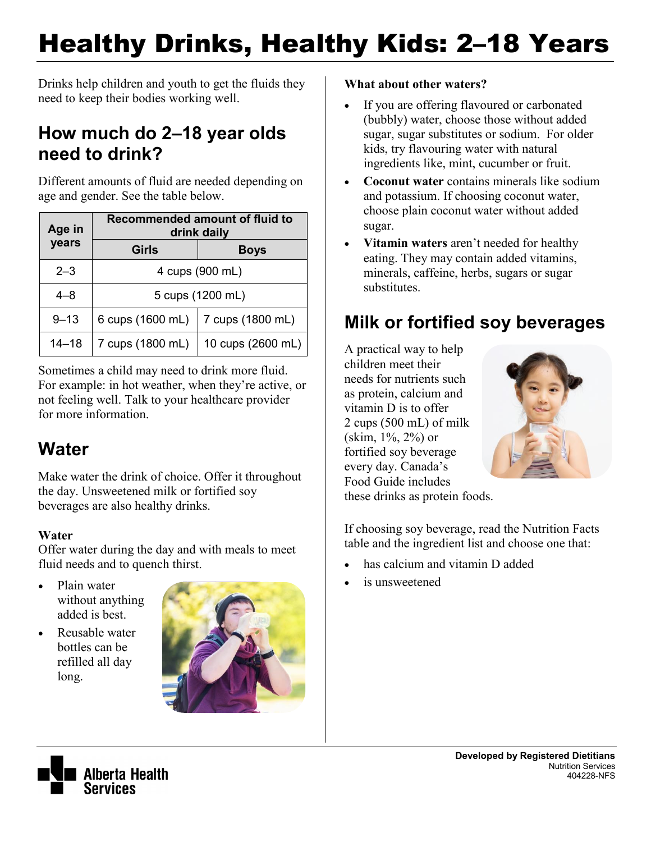# Healthy Drinks, Healthy Kids: 2–18 Years

Drinks help children and youth to get the fluids they need to keep their bodies working well.

### **How much do 2–18 year olds need to drink?**

Different amounts of fluid are needed depending on age and gender. See the table below.

| Age in    | Recommended amount of fluid to<br>drink daily |                   |  |
|-----------|-----------------------------------------------|-------------------|--|
| years     | Girls                                         | <b>Boys</b>       |  |
| $2 - 3$   | 4 cups (900 mL)                               |                   |  |
| $4 - 8$   | 5 cups (1200 mL)                              |                   |  |
| $9 - 13$  | 6 cups (1600 mL)                              | 7 cups (1800 mL)  |  |
| $14 - 18$ | 7 cups (1800 mL)                              | 10 cups (2600 mL) |  |

Sometimes a child may need to drink more fluid. For example: in hot weather, when they're active, or not feeling well. Talk to your healthcare provider for more information.

### **Water**

Make water the drink of choice. Offer it throughout the day. Unsweetened milk or fortified soy beverages are also healthy drinks.

#### **Water**

Offer water during the day and with meals to meet fluid needs and to quench thirst.

- Plain water without anything added is best.
- Reusable water bottles can be refilled all day long.



#### **What about other waters?**

- If you are offering flavoured or carbonated (bubbly) water, choose those without added sugar, sugar substitutes or sodium. For older kids, try flavouring water with natural ingredients like, mint, cucumber or fruit.
- **Coconut water** contains minerals like sodium and potassium. If choosing coconut water, choose plain coconut water without added sugar.
- **Vitamin waters** aren't needed for healthy eating. They may contain added vitamins, minerals, caffeine, herbs, sugars or sugar substitutes.

### **Milk or fortified soy beverages**

A practical way to help children meet their needs for nutrients such as protein, calcium and vitamin D is to offer 2 cups (500 mL) of milk (skim, 1%, 2%) or fortified soy beverage every day. Canada's Food Guide includes



these drinks as protein foods.

If choosing soy beverage, read the Nutrition Facts table and the ingredient list and choose one that:

- has calcium and vitamin D added
- is unsweetened

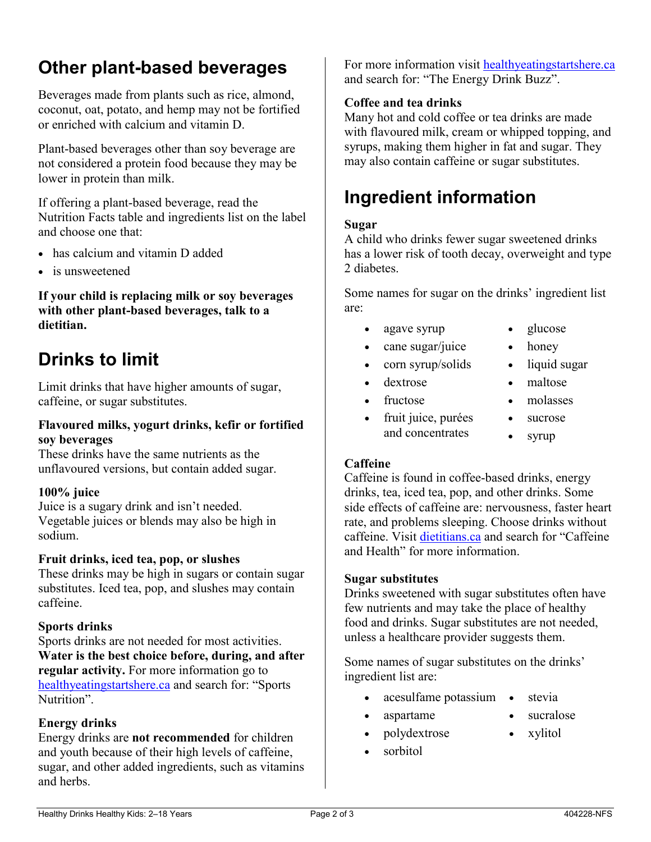# **Other plant-based beverages**

Beverages made from plants such as rice, almond, coconut, oat, potato, and hemp may not be fortified or enriched with calcium and vitamin D.

Plant-based beverages other than soy beverage are not considered a protein food because they may be lower in protein than milk.

If offering a plant-based beverage, read the Nutrition Facts table and ingredients list on the label and choose one that:

- has calcium and vitamin D added
- is unsweetened

**If your child is replacing milk or soy beverages with other plant-based beverages, talk to a dietitian.**

### **Drinks to limit**

Limit drinks that have higher amounts of sugar, caffeine, or sugar substitutes.

#### **Flavoured milks, yogurt drinks, kefir or fortified soy beverages**

These drinks have the same nutrients as the unflavoured versions, but contain added sugar.

#### **100% juice**

Juice is a sugary drink and isn't needed. Vegetable juices or blends may also be high in sodium.

#### **Fruit drinks, iced tea, pop, or slushes**

These drinks may be high in sugars or contain sugar substitutes. Iced tea, pop, and slushes may contain caffeine.

#### **Sports drinks**

Sports drinks are not needed for most activities. **Water is the best choice before, during, and after regular activity.** For more information go to [healthyeatingstartshere.ca](http://healthyeatingstartshere.ca/) and search for: "Sports Nutrition".

#### **Energy drinks**

Energy drinks are **not recommended** for children and youth because of their high levels of caffeine, sugar, and other added ingredients, such as vitamins and herbs.

For more information visit [healthyeatingstartshere.ca](http://healthyeatingstartshere.ca/) and search for: "The Energy Drink Buzz".

#### **Coffee and tea drinks**

Many hot and cold coffee or tea drinks are made with flavoured milk, cream or whipped topping, and syrups, making them higher in fat and sugar. They may also contain caffeine or sugar substitutes.

# **Ingredient information**

#### **Sugar**

A child who drinks fewer sugar sweetened drinks has a lower risk of tooth decay, overweight and type 2 diabetes.

Some names for sugar on the drinks' ingredient list are:

- agave syrup
	- cane sugar/juice
- corn syrup/solids
- dextrose
- fructose
- fruit juice, purées and concentrates
- glucose
- honey
- liquid sugar
- maltose
- molasses
- sucrose
- syrup

#### **Caffeine**

Caffeine is found in coffee-based drinks, energy drinks, tea, iced tea, pop, and other drinks. Some side effects of caffeine are: nervousness, faster heart rate, and problems sleeping. Choose drinks without caffeine. Visit [dietitians.ca](http://www.dietitians.ca/) and search for "Caffeine and Health" for more information.

#### **Sugar substitutes**

Drinks sweetened with sugar substitutes often have few nutrients and may take the place of healthy food and drinks. Sugar substitutes are not needed, unless a healthcare provider suggests them.

Some names of sugar substitutes on the drinks' ingredient list are:

- acesulfame potassium stevia
- aspartame

polydextrose

xylitol

sucralose

sorbitol